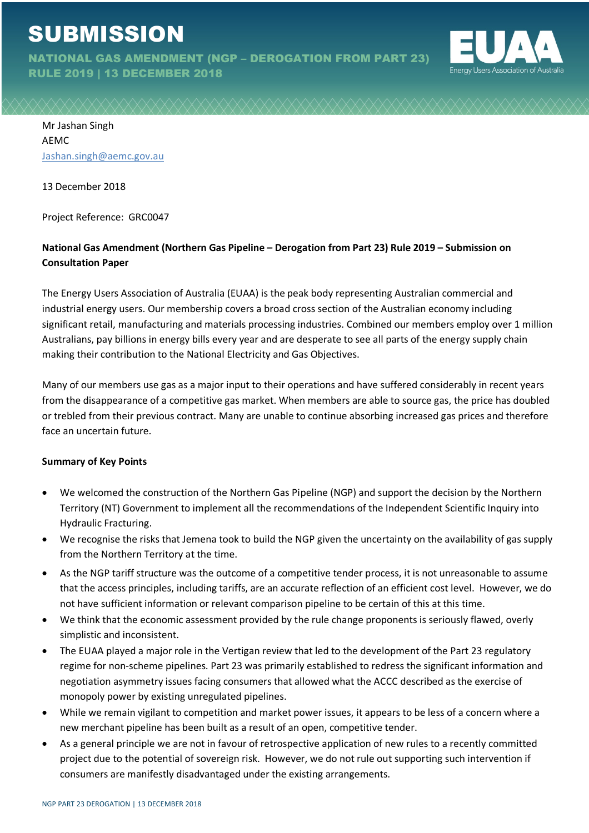# **SUBMISSION**

NATIONAL GAS AMENDMENT (NGP – DEROGATION FROM PART 23)

RULE 2019 | 13 DECEMBER 2018



Mr Jashan Singh AEMC Jashan.singh@aemc.gov.au

13 December 2018

Project Reference: GRC0047

## **National Gas Amendment (Northern Gas Pipeline – Derogation from Part 23) Rule 2019 – Submission on Consultation Paper**

The Energy Users Association of Australia (EUAA) is the peak body representing Australian commercial and industrial energy users. Our membership covers a broad cross section of the Australian economy including significant retail, manufacturing and materials processing industries. Combined our members employ over 1 million Australians, pay billions in energy bills every year and are desperate to see all parts of the energy supply chain making their contribution to the National Electricity and Gas Objectives.

Many of our members use gas as a major input to their operations and have suffered considerably in recent years from the disappearance of a competitive gas market. When members are able to source gas, the price has doubled or trebled from their previous contract. Many are unable to continue absorbing increased gas prices and therefore face an uncertain future.

### **Summary of Key Points**

- We welcomed the construction of the Northern Gas Pipeline (NGP) and support the decision by the Northern Territory (NT) Government to implement all the recommendations of the Independent Scientific Inquiry into Hydraulic Fracturing.
- We recognise the risks that Jemena took to build the NGP given the uncertainty on the availability of gas supply from the Northern Territory at the time.
- As the NGP tariff structure was the outcome of a competitive tender process, it is not unreasonable to assume that the access principles, including tariffs, are an accurate reflection of an efficient cost level. However, we do not have sufficient information or relevant comparison pipeline to be certain of this at this time.
- We think that the economic assessment provided by the rule change proponents is seriously flawed, overly simplistic and inconsistent.
- The EUAA played a major role in the Vertigan review that led to the development of the Part 23 regulatory regime for non-scheme pipelines. Part 23 was primarily established to redress the significant information and negotiation asymmetry issues facing consumers that allowed what the ACCC described as the exercise of monopoly power by existing unregulated pipelines.
- While we remain vigilant to competition and market power issues, it appears to be less of a concern where a new merchant pipeline has been built as a result of an open, competitive tender.
- As a general principle we are not in favour of retrospective application of new rules to a recently committed project due to the potential of sovereign risk. However, we do not rule out supporting such intervention if consumers are manifestly disadvantaged under the existing arrangements.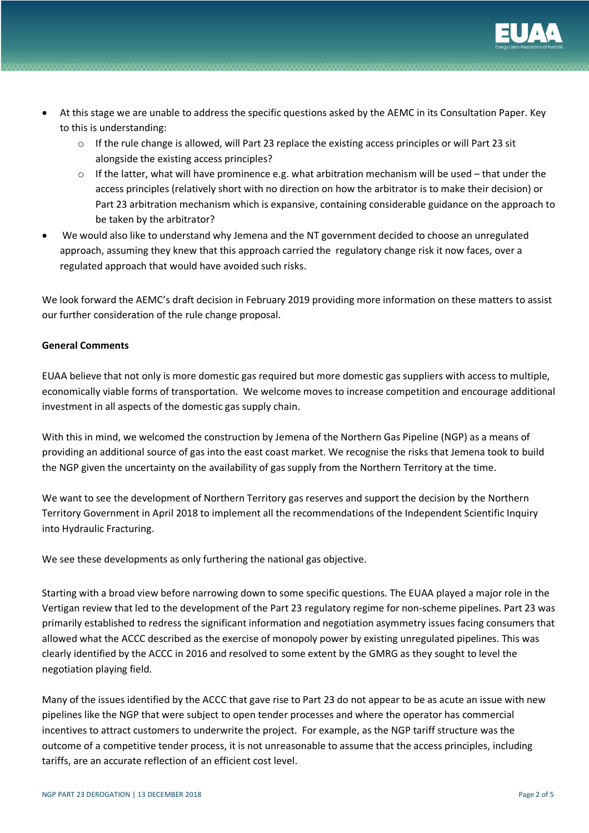

- At this stage we are unable to address the specific questions asked by the AEMC in its Consultation Paper. Key to this is understanding:
	- o If the rule change is allowed, will Part 23 replace the existing access principles or will Part 23 sit alongside the existing access principles?
	- $\circ$  If the latter, what will have prominence e.g. what arbitration mechanism will be used that under the access principles (relatively short with no direction on how the arbitrator is to make their decision) or Part 23 arbitration mechanism which is expansive, containing considerable guidance on the approach to be taken by the arbitrator?
- We would also like to understand why Jemena and the NT government decided to choose an unregulated approach, assuming they knew that this approach carried the regulatory change risk it now faces, over a regulated approach that would have avoided such risks.

We look forward the AEMC's draft decision in February 2019 providing more information on these matters to assist our further consideration of the rule change proposal.

#### **General Comments**

EUAA believe that not only is more domestic gas required but more domestic gas suppliers with access to multiple, economically viable forms of transportation. We welcome moves to increase competition and encourage additional investment in all aspects of the domestic gas supply chain.

With this in mind, we welcomed the construction by Jemena of the Northern Gas Pipeline (NGP) as a means of providing an additional source of gas into the east coast market. We recognise the risks that Jemena took to build the NGP given the uncertainty on the availability of gas supply from the Northern Territory at the time.

We want to see the development of Northern Territory gas reserves and support the decision by the Northern Territory Government in April 2018 to implement all the recommendations of the Independent Scientific Inquiry into Hydraulic Fracturing.

We see these developments as only furthering the national gas objective.

Starting with a broad view before narrowing down to some specific questions. The EUAA played a major role in the Vertigan review that led to the development of the Part 23 regulatory regime for non-scheme pipelines. Part 23 was primarily established to redress the significant information and negotiation asymmetry issues facing consumers that allowed what the ACCC described as the exercise of monopoly power by existing unregulated pipelines. This was clearly identified by the ACCC in 2016 and resolved to some extent by the GMRG as they sought to level the negotiation playing field.

Many of the issues identified by the ACCC that gave rise to Part 23 do not appear to be as acute an issue with new pipelines like the NGP that were subject to open tender processes and where the operator has commercial incentives to attract customers to underwrite the project. For example, as the NGP tariff structure was the outcome of a competitive tender process, it is not unreasonable to assume that the access principles, including tariffs, are an accurate reflection of an efficient cost level.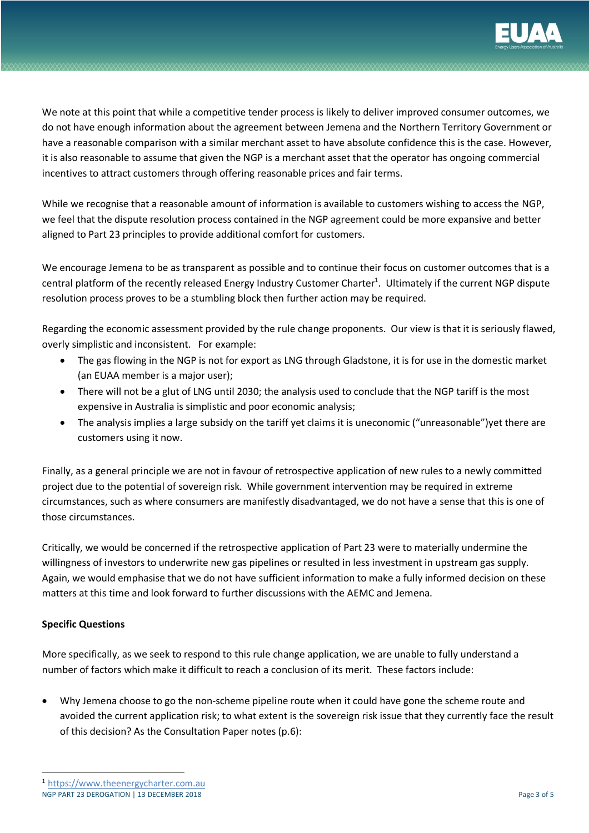

We note at this point that while a competitive tender process is likely to deliver improved consumer outcomes, we do not have enough information about the agreement between Jemena and the Northern Territory Government or have a reasonable comparison with a similar merchant asset to have absolute confidence this is the case. However, it is also reasonable to assume that given the NGP is a merchant asset that the operator has ongoing commercial incentives to attract customers through offering reasonable prices and fair terms.

While we recognise that a reasonable amount of information is available to customers wishing to access the NGP, we feel that the dispute resolution process contained in the NGP agreement could be more expansive and better aligned to Part 23 principles to provide additional comfort for customers.

We encourage Jemena to be as transparent as possible and to continue their focus on customer outcomes that is a central platform of the recently released Energy Industry Customer Charter<sup>1</sup>. Ultimately if the current NGP dispute resolution process proves to be a stumbling block then further action may be required.

Regarding the economic assessment provided by the rule change proponents. Our view is that it is seriously flawed, overly simplistic and inconsistent. For example:

- The gas flowing in the NGP is not for export as LNG through Gladstone, it is for use in the domestic market (an EUAA member is a major user);
- There will not be a glut of LNG until 2030; the analysis used to conclude that the NGP tariff is the most expensive in Australia is simplistic and poor economic analysis;
- The analysis implies a large subsidy on the tariff yet claims it is uneconomic ("unreasonable")yet there are customers using it now.

Finally, as a general principle we are not in favour of retrospective application of new rules to a newly committed project due to the potential of sovereign risk. While government intervention may be required in extreme circumstances, such as where consumers are manifestly disadvantaged, we do not have a sense that this is one of those circumstances.

Critically, we would be concerned if the retrospective application of Part 23 were to materially undermine the willingness of investors to underwrite new gas pipelines or resulted in less investment in upstream gas supply. Again, we would emphasise that we do not have sufficient information to make a fully informed decision on these matters at this time and look forward to further discussions with the AEMC and Jemena.

## **Specific Questions**

More specifically, as we seek to respond to this rule change application, we are unable to fully understand a number of factors which make it difficult to reach a conclusion of its merit. These factors include:

• Why Jemena choose to go the non-scheme pipeline route when it could have gone the scheme route and avoided the current application risk; to what extent is the sovereign risk issue that they currently face the result of this decision? As the Consultation Paper notes (p.6):

 <sup>1</sup> https://www.theenergycharter.com.au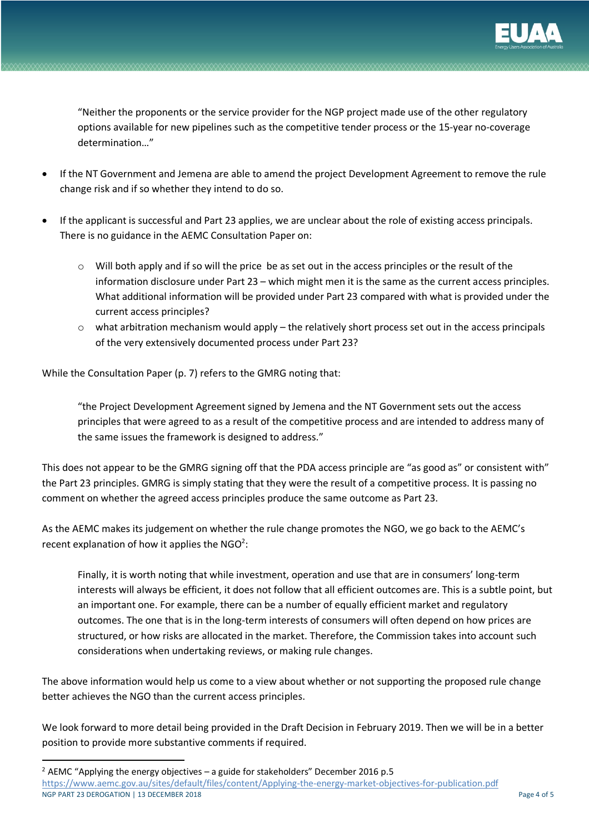

"Neither the proponents or the service provider for the NGP project made use of the other regulatory options available for new pipelines such as the competitive tender process or the 15-year no-coverage determination…"

- If the NT Government and Jemena are able to amend the project Development Agreement to remove the rule change risk and if so whether they intend to do so.
- If the applicant is successful and Part 23 applies, we are unclear about the role of existing access principals. There is no guidance in the AEMC Consultation Paper on:
	- $\circ$  Will both apply and if so will the price be as set out in the access principles or the result of the information disclosure under Part 23 – which might men it is the same as the current access principles. What additional information will be provided under Part 23 compared with what is provided under the current access principles?
	- $\circ$  what arbitration mechanism would apply the relatively short process set out in the access principals of the very extensively documented process under Part 23?

While the Consultation Paper (p. 7) refers to the GMRG noting that:

"the Project Development Agreement signed by Jemena and the NT Government sets out the access principles that were agreed to as a result of the competitive process and are intended to address many of the same issues the framework is designed to address."

This does not appear to be the GMRG signing off that the PDA access principle are "as good as" or consistent with" the Part 23 principles. GMRG is simply stating that they were the result of a competitive process. It is passing no comment on whether the agreed access principles produce the same outcome as Part 23.

As the AEMC makes its judgement on whether the rule change promotes the NGO, we go back to the AEMC's recent explanation of how it applies the  $NGO<sup>2</sup>$ :

Finally, it is worth noting that while investment, operation and use that are in consumers' long-term interests will always be efficient, it does not follow that all efficient outcomes are. This is a subtle point, but an important one. For example, there can be a number of equally efficient market and regulatory outcomes. The one that is in the long-term interests of consumers will often depend on how prices are structured, or how risks are allocated in the market. Therefore, the Commission takes into account such considerations when undertaking reviews, or making rule changes.

The above information would help us come to a view about whether or not supporting the proposed rule change better achieves the NGO than the current access principles.

We look forward to more detail being provided in the Draft Decision in February 2019. Then we will be in a better position to provide more substantive comments if required.

NGP PART 23 DEROGATION | 13 DECEMBER 2018 **Page 4 of 5** Page 4 of 5  $2$  AEMC "Applying the energy objectives – a guide for stakeholders" December 2016 p.5 https://www.aemc.gov.au/sites/default/files/content/Applying-the-energy-market-objectives-for-publication.pdf